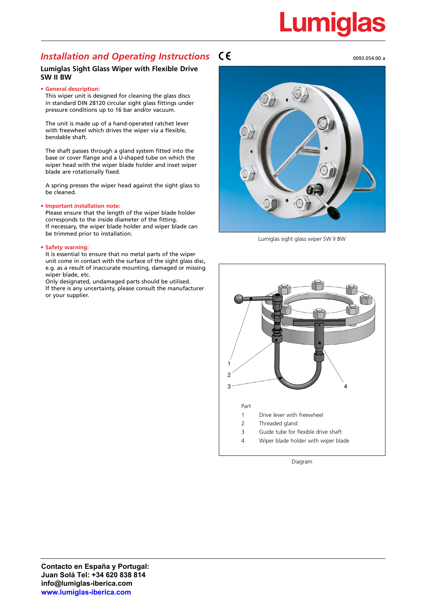# Lumiglas

### **Installation and Operating Instructions**  $\mathsf{C}\boldsymbol{\epsilon}$  **and**  $\mathsf{C}\boldsymbol{\epsilon}$  **and**  $\mathsf{C}\boldsymbol{\epsilon}$  **and**  $\mathsf{C}\boldsymbol{\epsilon}$  **and**  $\mathsf{C}\boldsymbol{\epsilon}$  **and**  $\mathsf{C}\boldsymbol{\epsilon}$  **and**  $\mathsf{C}\boldsymbol{\epsilon}$  **and**  $\mathsf{C}\boldsymbol{\epsilon}$  **and**  $\mathsf{C}\boldsymbol{\epsilon}$  **and**  $\mathsf{C}\boldsymbol{\epsilon}$  **and**

#### **Lumiglas Sight Glass Wiper with Flexible Drive SW II BW**

#### **• General description:**

This wiper unit is designed for cleaning the glass discs in standard DIN 28120 circular sight glass fittings under pressure conditions up to 16 bar and/or vacuum.

The unit is made up of a hand-operated ratchet lever with freewheel which drives the wiper via a flexible, bendable shaft.

The shaft passes through a gland system fitted into the base or cover flange and a U-shaped tube on which the wiper head with the wiper blade holder and inset wiper blade are rotationally fixed.

A spring presses the wiper head against the sight glass to be cleaned.

#### **• Important installation note:**

Please ensure that the length of the wiper blade holder corresponds to the inside diameter of the fitting. If necessary, the wiper blade holder and wiper blade can be trimmed prior to installation.

#### **• Safety warning:**

It is essential to ensure that no metal parts of the wiper unit come in contact with the surface of the sight glass disc, e.g. as a result of inaccurate mounting, damaged or missing wiper blade, etc.

Only designated, undamaged parts should be utilised. If there is any uncertainty, please consult the manufacturer or your supplier.

Lumiglas sight glass wiper SW II BW



Diagram